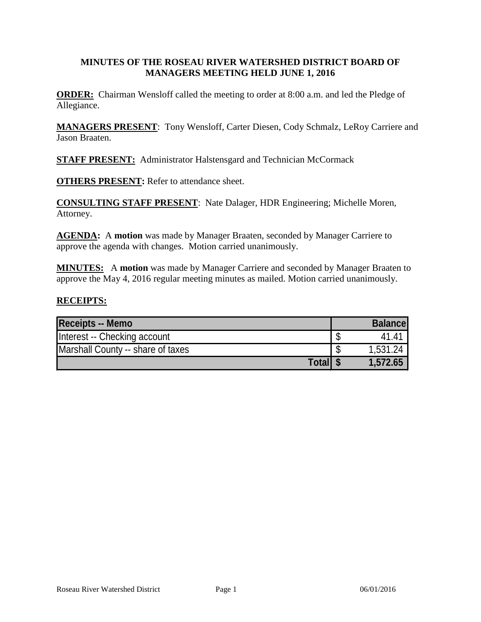### **MINUTES OF THE ROSEAU RIVER WATERSHED DISTRICT BOARD OF MANAGERS MEETING HELD JUNE 1, 2016**

**ORDER:** Chairman Wensloff called the meeting to order at 8:00 a.m. and led the Pledge of Allegiance.

**MANAGERS PRESENT**: Tony Wensloff, Carter Diesen, Cody Schmalz, LeRoy Carriere and Jason Braaten.

**STAFF PRESENT:** Administrator Halstensgard and Technician McCormack

**OTHERS PRESENT:** Refer to attendance sheet.

**CONSULTING STAFF PRESENT**: Nate Dalager, HDR Engineering; Michelle Moren, Attorney.

**AGENDA:** A **motion** was made by Manager Braaten, seconded by Manager Carriere to approve the agenda with changes. Motion carried unanimously.

**MINUTES:** A **motion** was made by Manager Carriere and seconded by Manager Braaten to approve the May 4, 2016 regular meeting minutes as mailed. Motion carried unanimously.

#### **RECEIPTS:**

| <b>Receipts -- Memo</b>           | <b>Balance</b> |
|-----------------------------------|----------------|
| Interest -- Checking account      | 41.41          |
| Marshall County -- share of taxes | 1,531.24       |
| <b>Total</b>                      | 1,572.65       |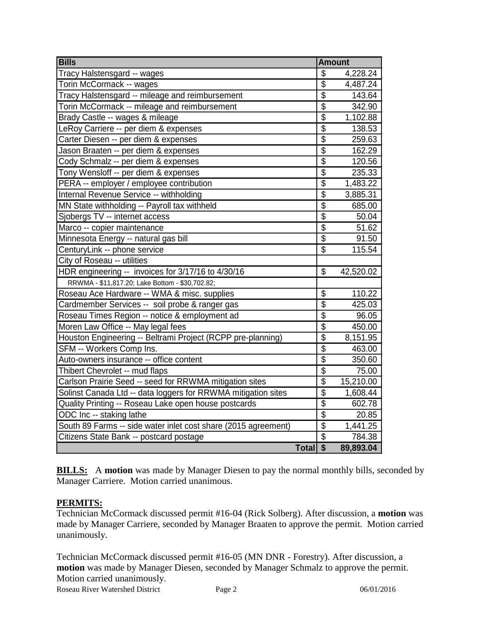| <b>Bills</b>                                                   | <b>Amount</b>           |           |
|----------------------------------------------------------------|-------------------------|-----------|
| Tracy Halstensgard -- wages                                    | \$                      | 4,228.24  |
| Torin McCormack -- wages                                       | $\overline{\$}$         | 4,487.24  |
| Tracy Halstensgard -- mileage and reimbursement                | $\overline{\$}$         | 143.64    |
| Torin McCormack -- mileage and reimbursement                   | $\overline{\$}$         | 342.90    |
| Brady Castle -- wages & mileage                                | $\overline{\$}$         | 1,102.88  |
| LeRoy Carriere -- per diem & expenses                          | $\overline{\$}$         | 138.53    |
| Carter Diesen -- per diem & expenses                           | $\overline{\$}$         | 259.63    |
| Jason Braaten -- per diem & expenses                           | $\overline{\$}$         | 162.29    |
| Cody Schmalz -- per diem & expenses                            | $rac{6}{3}$             | 120.56    |
| Tony Wensloff -- per diem & expenses                           |                         | 235.33    |
| PERA -- employer / employee contribution                       | $\overline{\$}$         | 1,483.22  |
| Internal Revenue Service -- withholding                        | $\overline{\$}$         | 3,885.31  |
| MN State withholding -- Payroll tax withheld                   | $\overline{\$}$         | 685.00    |
| Sjobergs TV -- internet access                                 | $\overline{\$}$         | 50.04     |
| Marco -- copier maintenance                                    | $\overline{\$}$         | 51.62     |
| Minnesota Energy -- natural gas bill                           | $\overline{\$}$         | 91.50     |
| CenturyLink -- phone service                                   | $\overline{\$}$         | 115.54    |
| City of Roseau -- utilities                                    |                         |           |
| HDR engineering -- invoices for 3/17/16 to 4/30/16             | \$                      | 42,520.02 |
| RRWMA - \$11,817.20; Lake Bottom - \$30,702.82;                |                         |           |
| Roseau Ace Hardware -- WMA & misc. supplies                    | $\overline{\mathbb{S}}$ | 110.22    |
| Cardmember Services -- soil probe & ranger gas                 | \$                      | 425.03    |
| Roseau Times Region -- notice & employment ad                  | $\overline{\$}$         | 96.05     |
| Moren Law Office -- May legal fees                             | $\overline{\$}$         | 450.00    |
| Houston Engineering -- Beltrami Project (RCPP pre-planning)    | $\overline{\$}$         | 8,151.95  |
| SFM -- Workers Comp Ins.                                       | $\overline{\$}$         | 463.00    |
| Auto-owners insurance -- office content                        | $\overline{\$}$         | 350.60    |
| Thibert Chevrolet -- mud flaps                                 | $\overline{\$}$         | 75.00     |
| Carlson Prairie Seed -- seed for RRWMA mitigation sites        | $\overline{\$}$         | 15,210.00 |
| Solinst Canada Ltd -- data loggers for RRWMA mitigation sites  | $\overline{\mathbf{S}}$ | 1,608.44  |
| Quality Printing -- Roseau Lake open house postcards           | $\overline{\$}$         | 602.78    |
| ODC Inc -- staking lathe                                       | $\overline{\$}$         | 20.85     |
| South 89 Farms -- side water inlet cost share (2015 agreement) | $\overline{\$}$         | 1,441.25  |
| Citizens State Bank -- postcard postage                        | $\overline{\$}$         | 784.38    |
| Total \$                                                       |                         | 89,893.04 |

**BILLS:** A motion was made by Manager Diesen to pay the normal monthly bills, seconded by Manager Carriere. Motion carried unanimous.

# **PERMITS:**

Technician McCormack discussed permit #16-04 (Rick Solberg). After discussion, a **motion** was made by Manager Carriere, seconded by Manager Braaten to approve the permit. Motion carried unanimously.

Technician McCormack discussed permit #16-05 (MN DNR - Forestry). After discussion, a **motion** was made by Manager Diesen, seconded by Manager Schmalz to approve the permit. Motion carried unanimously.

Roseau River Watershed District Page 2 06/01/2016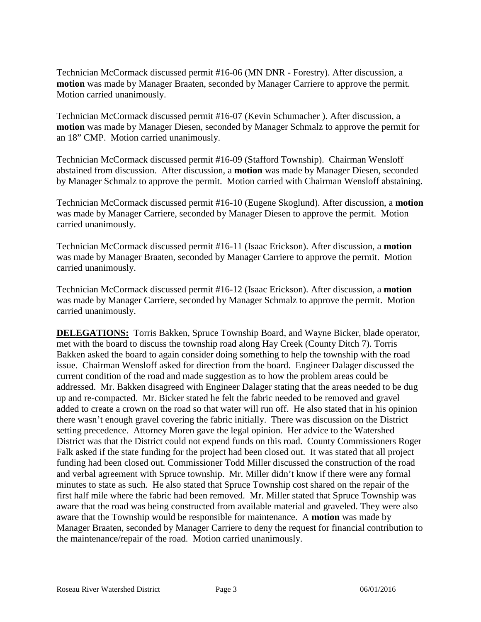Technician McCormack discussed permit #16-06 (MN DNR - Forestry). After discussion, a **motion** was made by Manager Braaten, seconded by Manager Carriere to approve the permit. Motion carried unanimously.

Technician McCormack discussed permit #16-07 (Kevin Schumacher ). After discussion, a **motion** was made by Manager Diesen, seconded by Manager Schmalz to approve the permit for an 18" CMP. Motion carried unanimously.

Technician McCormack discussed permit #16-09 (Stafford Township). Chairman Wensloff abstained from discussion. After discussion, a **motion** was made by Manager Diesen, seconded by Manager Schmalz to approve the permit. Motion carried with Chairman Wensloff abstaining.

Technician McCormack discussed permit #16-10 (Eugene Skoglund). After discussion, a **motion** was made by Manager Carriere, seconded by Manager Diesen to approve the permit. Motion carried unanimously.

Technician McCormack discussed permit #16-11 (Isaac Erickson). After discussion, a **motion** was made by Manager Braaten, seconded by Manager Carriere to approve the permit. Motion carried unanimously.

Technician McCormack discussed permit #16-12 (Isaac Erickson). After discussion, a **motion** was made by Manager Carriere, seconded by Manager Schmalz to approve the permit. Motion carried unanimously.

**DELEGATIONS:** Torris Bakken, Spruce Township Board, and Wayne Bicker, blade operator, met with the board to discuss the township road along Hay Creek (County Ditch 7). Torris Bakken asked the board to again consider doing something to help the township with the road issue. Chairman Wensloff asked for direction from the board. Engineer Dalager discussed the current condition of the road and made suggestion as to how the problem areas could be addressed. Mr. Bakken disagreed with Engineer Dalager stating that the areas needed to be dug up and re-compacted. Mr. Bicker stated he felt the fabric needed to be removed and gravel added to create a crown on the road so that water will run off. He also stated that in his opinion there wasn't enough gravel covering the fabric initially. There was discussion on the District setting precedence. Attorney Moren gave the legal opinion. Her advice to the Watershed District was that the District could not expend funds on this road. County Commissioners Roger Falk asked if the state funding for the project had been closed out. It was stated that all project funding had been closed out. Commissioner Todd Miller discussed the construction of the road and verbal agreement with Spruce township. Mr. Miller didn't know if there were any formal minutes to state as such. He also stated that Spruce Township cost shared on the repair of the first half mile where the fabric had been removed. Mr. Miller stated that Spruce Township was aware that the road was being constructed from available material and graveled. They were also aware that the Township would be responsible for maintenance. A **motion** was made by Manager Braaten, seconded by Manager Carriere to deny the request for financial contribution to the maintenance/repair of the road. Motion carried unanimously.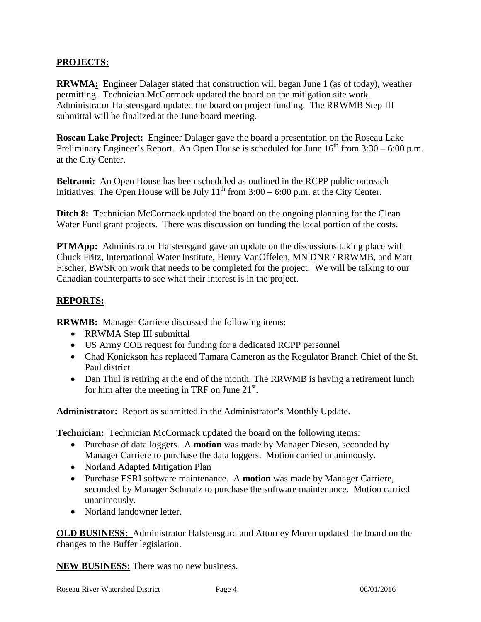# **PROJECTS:**

**RRWMA:** Engineer Dalager stated that construction will began June 1 (as of today), weather permitting. Technician McCormack updated the board on the mitigation site work. Administrator Halstensgard updated the board on project funding. The RRWMB Step III submittal will be finalized at the June board meeting.

**Roseau Lake Project:** Engineer Dalager gave the board a presentation on the Roseau Lake Preliminary Engineer's Report. An Open House is scheduled for June  $16<sup>th</sup>$  from  $3:30 - 6:00$  p.m. at the City Center.

**Beltrami:** An Open House has been scheduled as outlined in the RCPP public outreach initiatives. The Open House will be July  $11<sup>th</sup>$  from  $3:00 - 6:00$  p.m. at the City Center.

**Ditch 8:** Technician McCormack updated the board on the ongoing planning for the Clean Water Fund grant projects. There was discussion on funding the local portion of the costs.

**PTMApp:** Administrator Halstensgard gave an update on the discussions taking place with Chuck Fritz, International Water Institute, Henry VanOffelen, MN DNR / RRWMB, and Matt Fischer, BWSR on work that needs to be completed for the project. We will be talking to our Canadian counterparts to see what their interest is in the project.

## **REPORTS:**

**RRWMB:** Manager Carriere discussed the following items:

- RRWMA Step III submittal
- US Army COE request for funding for a dedicated RCPP personnel
- Chad Konickson has replaced Tamara Cameron as the Regulator Branch Chief of the St. Paul district
- Dan Thul is retiring at the end of the month. The RRWMB is having a retirement lunch for him after the meeting in TRF on June  $21^{st}$ .

**Administrator:** Report as submitted in the Administrator's Monthly Update.

**Technician:** Technician McCormack updated the board on the following items:

- Purchase of data loggers. A **motion** was made by Manager Diesen, seconded by Manager Carriere to purchase the data loggers. Motion carried unanimously.
- Norland Adapted Mitigation Plan
- Purchase ESRI software maintenance. A **motion** was made by Manager Carriere, seconded by Manager Schmalz to purchase the software maintenance. Motion carried unanimously.
- Norland landowner letter.

**OLD BUSINESS:** Administrator Halstensgard and Attorney Moren updated the board on the changes to the Buffer legislation.

**NEW BUSINESS:** There was no new business.